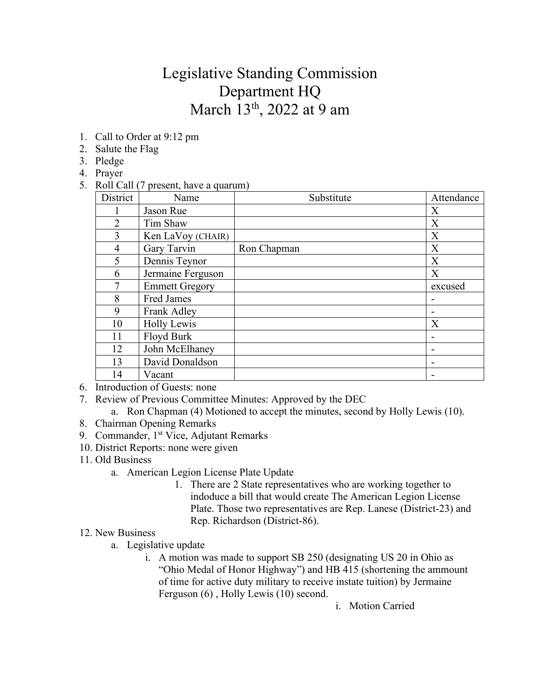## Legislative Standing Commission Department HQ March 13<sup>th</sup>, 2022 at 9 am

- 1. Call to Order at 9:12 pm
- 2. Salute the Flag
- 3. Pledge
- 4. Prayer
- 5. Roll Call (7 present, have a quarum)

| District       | Name                  | Substitute  | Attendance |
|----------------|-----------------------|-------------|------------|
|                | Jason Rue             |             | X          |
| $\overline{2}$ | Tim Shaw              |             | X          |
| 3              | Ken LaVoy (CHAIR)     |             | X          |
| $\overline{4}$ | Gary Tarvin           | Ron Chapman | X          |
| 5              | Dennis Teynor         |             | X          |
| 6              | Jermaine Ferguson     |             | X          |
| 7              | <b>Emmett Gregory</b> |             | excused    |
| 8              | Fred James            |             | ۰          |
| 9              | Frank Adley           |             | ۰          |
| 10             | <b>Holly Lewis</b>    |             | X          |
| 11             | Floyd Burk            |             |            |
| 12             | John McElhaney        |             | ۰          |
| 13             | David Donaldson       |             |            |
| 14             | Vacant                |             | ۰          |

- 6. Introduction of Guests: none
- 7. Review of Previous Committee Minutes: Approved by the DEC
	- a. Ron Chapman (4) Motioned to accept the minutes, second by Holly Lewis (10).
- 8. Chairman Opening Remarks
- 9. Commander, 1<sup>st</sup> Vice, Adjutant Remarks
- 10. District Reports: none were given
- 11. Old Business
	- a. American Legion License Plate Update
		- 1. There are 2 State representatives who are working together to indoduce a bill that would create The American Legion License Plate. Those two representatives are Rep. Lanese (District-23) and Rep. Richardson (District-86).
- 12. New Business
	- a. Legislative update
		- i. A motion was made to support SB 250 (designating US 20 in Ohio as "Ohio Medal of Honor Highway") and HB 415 (shortening the ammount of time for active duty military to receive instate tuition) by Jermaine Ferguson (6) , Holly Lewis (10) second.

i. Motion Carried